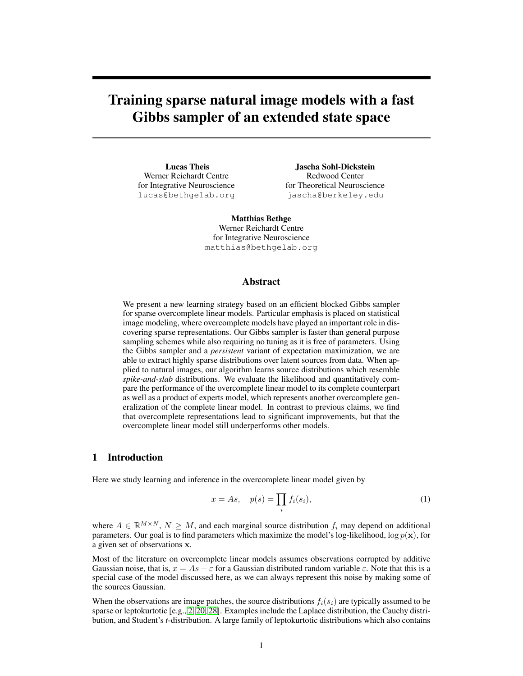# Training sparse natural image models with a fast Gibbs sampler of an extended state space

Lucas Theis Werner Reichardt Centre for Integrative Neuroscience lucas@bethgelab.org

Jascha Sohl-Dickstein Redwood Center for Theoretical Neuroscience jascha@berkeley.edu

Matthias Bethge Werner Reichardt Centre for Integrative Neuroscience matthias@bethgelab.org

## Abstract

We present a new learning strategy based on an efficient blocked Gibbs sampler for sparse overcomplete linear models. Particular emphasis is placed on statistical image modeling, where overcomplete models have played an important role in discovering sparse representations. Our Gibbs sampler is faster than general purpose sampling schemes while also requiring no tuning as it is free of parameters. Using the Gibbs sampler and a *persistent* variant of expectation maximization, we are able to extract highly sparse distributions over latent sources from data. When applied to natural images, our algorithm learns source distributions which resemble *spike-and-slab* distributions. We evaluate the likelihood and quantitatively compare the performance of the overcomplete linear model to its complete counterpart as well as a product of experts model, which represents another overcomplete generalization of the complete linear model. In contrast to previous claims, we find that overcomplete representations lead to significant improvements, but that the overcomplete linear model still underperforms other models.

## 1 Introduction

Here we study learning and inference in the overcomplete linear model given by

$$
x = As, \quad p(s) = \prod_i f_i(s_i), \tag{1}
$$

where  $A \in \mathbb{R}^{M \times N}$ ,  $N \geq M$ , and each marginal source distribution  $f_i$  may depend on additional parameters. Our goal is to find parameters which maximize the model's log-likelihood,  $\log p(\mathbf{x})$ , for a given set of observations x.

Most of the literature on overcomplete linear models assumes observations corrupted by additive Gaussian noise, that is,  $x = As + \varepsilon$  for a Gaussian distributed random variable  $\varepsilon$ . Note that this is a special case of the model discussed here, as we can always represent this noise by making some of the sources Gaussian.

When the observations are image patches, the source distributions  $f_i(s_i)$  are typically assumed to be sparse or leptokurtotic [e.g., 2, 20, 28]. Examples include the Laplace distribution, the Cauchy distribution, and Student's *t*-distribution. A large family of leptokurtotic distributions which also contains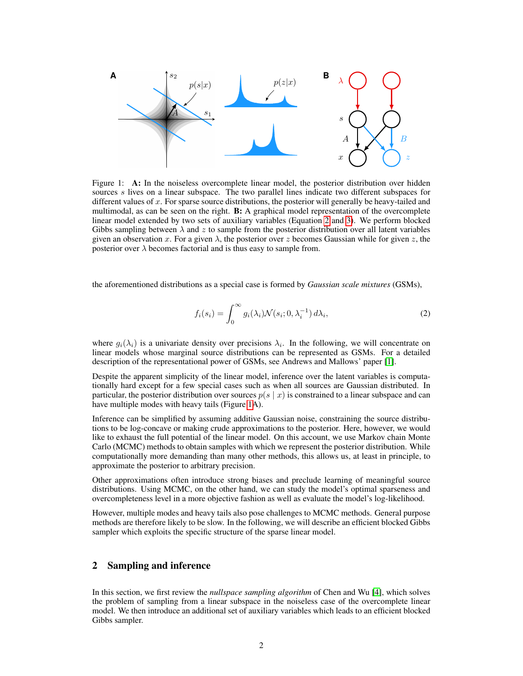

Figure 1: A: In the noiseless overcomplete linear model, the posterior distribution over hidden sources s lives on a linear subspace. The two parallel lines indicate two different subspaces for different values of  $x$ . For sparse source distributions, the posterior will generally be heavy-tailed and multimodal, as can be seen on the right. B: A graphical model representation of the overcomplete linear model extended by two sets of auxiliary variables (Equation 2 and 3). We perform blocked Gibbs sampling between  $\lambda$  and z to sample from the posterior distribution over all latent variables given an observation x. For a given  $\lambda$ , the posterior over z becomes Gaussian while for given z, the posterior over  $\lambda$  becomes factorial and is thus easy to sample from.

the aforementioned distributions as a special case is formed by *Gaussian scale mixtures* (GSMs),

$$
f_i(s_i) = \int_0^\infty g_i(\lambda_i) \mathcal{N}(s_i; 0, \lambda_i^{-1}) d\lambda_i,
$$
\n(2)

where  $g_i(\lambda_i)$  is a univariate density over precisions  $\lambda_i$ . In the following, we will concentrate on linear models whose marginal source distributions can be represented as GSMs. For a detailed description of the representational power of GSMs, see Andrews and Mallows' paper [1].

Despite the apparent simplicity of the linear model, inference over the latent variables is computationally hard except for a few special cases such as when all sources are Gaussian distributed. In particular, the posterior distribution over sources  $p(s \mid x)$  is constrained to a linear subspace and can have multiple modes with heavy tails (Figure 1A).

Inference can be simplified by assuming additive Gaussian noise, constraining the source distributions to be log-concave or making crude approximations to the posterior. Here, however, we would like to exhaust the full potential of the linear model. On this account, we use Markov chain Monte Carlo (MCMC) methods to obtain samples with which we represent the posterior distribution. While computationally more demanding than many other methods, this allows us, at least in principle, to approximate the posterior to arbitrary precision.

Other approximations often introduce strong biases and preclude learning of meaningful source distributions. Using MCMC, on the other hand, we can study the model's optimal sparseness and overcompleteness level in a more objective fashion as well as evaluate the model's log-likelihood.

However, multiple modes and heavy tails also pose challenges to MCMC methods. General purpose methods are therefore likely to be slow. In the following, we will describe an efficient blocked Gibbs sampler which exploits the specific structure of the sparse linear model.

## 2 Sampling and inference

In this section, we first review the *nullspace sampling algorithm* of Chen and Wu [4], which solves the problem of sampling from a linear subspace in the noiseless case of the overcomplete linear model. We then introduce an additional set of auxiliary variables which leads to an efficient blocked Gibbs sampler.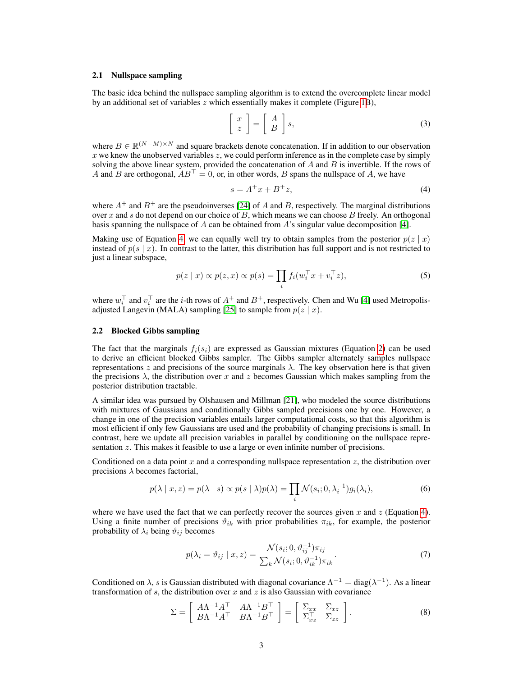## 2.1 Nullspace sampling

The basic idea behind the nullspace sampling algorithm is to extend the overcomplete linear model by an additional set of variables  $z$  which essentially makes it complete (Figure 1B),

$$
\left[\begin{array}{c} x \\ z \end{array}\right] = \left[\begin{array}{c} A \\ B \end{array}\right] s,\tag{3}
$$

where  $B \in \mathbb{R}^{(N-M)\times N}$  and square brackets denote concatenation. If in addition to our observation  $x$  we knew the unobserved variables  $z$ , we could perform inference as in the complete case by simply solving the above linear system, provided the concatenation of  $A$  and  $B$  is invertible. If the rows of A and B are orthogonal,  $AB^{\dagger} = 0$ , or, in other words, B spans the nullspace of A, we have

$$
s = A^+x + B^+z,\tag{4}
$$

where  $A^+$  and  $B^+$  are the pseudoinverses [24] of A and B, respectively. The marginal distributions over x and s do not depend on our choice of B, which means we can choose B freely. An orthogonal basis spanning the nullspace of A can be obtained from  $A$ 's singular value decomposition [4].

Making use of Equation 4, we can equally well try to obtain samples from the posterior  $p(z | x)$ instead of  $p(s \mid x)$ . In contrast to the latter, this distribution has full support and is not restricted to just a linear subspace,

$$
p(z \mid x) \propto p(z, x) \propto p(s) = \prod_{i} f_i(w_i^\top x + v_i^\top z), \tag{5}
$$

where  $w_i^{\top}$  and  $v_i^{\top}$  are the *i*-th rows of  $A^+$  and  $B^+$ , respectively. Chen and Wu [4] used Metropolisadjusted Langevin (MALA) sampling [25] to sample from  $p(z | x)$ .

### 2.2 Blocked Gibbs sampling

The fact that the marginals  $f_i(s_i)$  are expressed as Gaussian mixtures (Equation 2) can be used to derive an efficient blocked Gibbs sampler. The Gibbs sampler alternately samples nullspace representations z and precisions of the source marginals  $\lambda$ . The key observation here is that given the precisions  $\lambda$ , the distribution over x and z becomes Gaussian which makes sampling from the posterior distribution tractable.

A similar idea was pursued by Olshausen and Millman [21], who modeled the source distributions with mixtures of Gaussians and conditionally Gibbs sampled precisions one by one. However, a change in one of the precision variables entails larger computational costs, so that this algorithm is most efficient if only few Gaussians are used and the probability of changing precisions is small. In contrast, here we update all precision variables in parallel by conditioning on the nullspace representation  $z$ . This makes it feasible to use a large or even infinite number of precisions.

Conditioned on a data point x and a corresponding nullspace representation  $z$ , the distribution over precisions  $\lambda$  becomes factorial.

$$
p(\lambda \mid x, z) = p(\lambda \mid s) \propto p(s \mid \lambda)p(\lambda) = \prod_{i} \mathcal{N}(s_i; 0, \lambda_i^{-1})g_i(\lambda_i),
$$
\n(6)

where we have used the fact that we can perfectly recover the sources given x and z (Equation 4). Using a finite number of precisions  $\vartheta_{ik}$  with prior probabilities  $\pi_{ik}$ , for example, the posterior probability of  $\lambda_i$  being  $\vartheta_{ij}$  becomes

$$
p(\lambda_i = \vartheta_{ij} \mid x, z) = \frac{\mathcal{N}(s_i; 0, \vartheta_{ij}^{-1}) \pi_{ij}}{\sum_k \mathcal{N}(s_i; 0, \vartheta_{ik}^{-1}) \pi_{ik}}.
$$
\n
$$
(7)
$$

Conditioned on  $\lambda$ , s is Gaussian distributed with diagonal covariance  $\Lambda^{-1} = \text{diag}(\lambda^{-1})$ . As a linear transformation of  $s$ , the distribution over  $x$  and  $z$  is also Gaussian with covariance

$$
\Sigma = \left[ \begin{array}{cc} A\Lambda^{-1}A^{\top} & A\Lambda^{-1}B^{\top} \\ B\Lambda^{-1}A^{\top} & B\Lambda^{-1}B^{\top} \end{array} \right] = \left[ \begin{array}{cc} \Sigma_{xx} & \Sigma_{xz} \\ \Sigma_{xz}^{\top} & \Sigma_{zz} \end{array} \right]. \tag{8}
$$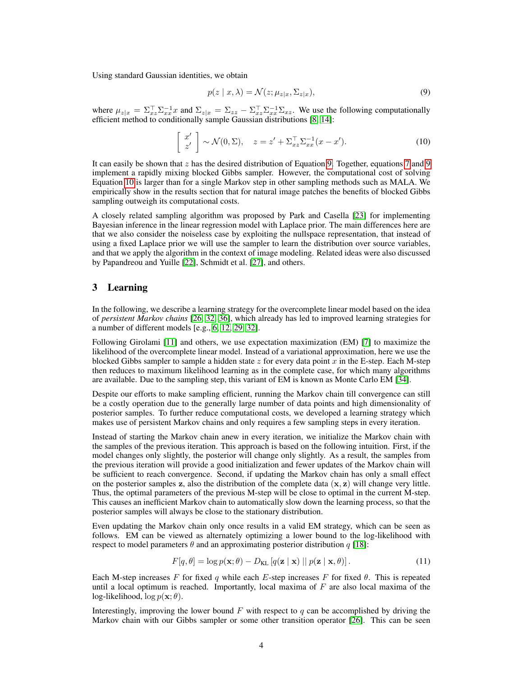Using standard Gaussian identities, we obtain

$$
p(z \mid x, \lambda) = \mathcal{N}(z; \mu_{z|x}, \Sigma_{z|x}),\tag{9}
$$

where  $\mu_{z|x} = \sum_{x} \sum_{xx} \sum_{xx} dx$  and  $\sum_{z|x} = \sum_{zz} - \sum_{xx} \sum_{xx} \sum_{xx}$ . We use the following computationally efficient method to conditionally sample Gaussian distributions [8, 14]:

$$
\begin{bmatrix} x' \\ z' \end{bmatrix} \sim \mathcal{N}(0, \Sigma), \quad z = z' + \Sigma_{xz}^{\top} \Sigma_{xx}^{-1} (x - x'). \tag{10}
$$

It can easily be shown that  $z$  has the desired distribution of Equation 9. Together, equations 7 and 9 implement a rapidly mixing blocked Gibbs sampler. However, the computational cost of solving Equation 10 is larger than for a single Markov step in other sampling methods such as MALA. We empirically show in the results section that for natural image patches the benefits of blocked Gibbs sampling outweigh its computational costs.

A closely related sampling algorithm was proposed by Park and Casella [23] for implementing Bayesian inference in the linear regression model with Laplace prior. The main differences here are that we also consider the noiseless case by exploiting the nullspace representation, that instead of using a fixed Laplace prior we will use the sampler to learn the distribution over source variables, and that we apply the algorithm in the context of image modeling. Related ideas were also discussed by Papandreou and Yuille [22], Schmidt et al. [27], and others.

# 3 Learning

In the following, we describe a learning strategy for the overcomplete linear model based on the idea of *persistent Markov chains* [26, 32, 36], which already has led to improved learning strategies for a number of different models [e.g., 6, 12, 29, 32].

Following Girolami [11] and others, we use expectation maximization (EM) [7] to maximize the likelihood of the overcomplete linear model. Instead of a variational approximation, here we use the blocked Gibbs sampler to sample a hidden state  $z$  for every data point  $x$  in the E-step. Each M-step then reduces to maximum likelihood learning as in the complete case, for which many algorithms are available. Due to the sampling step, this variant of EM is known as Monte Carlo EM [34].

Despite our efforts to make sampling efficient, running the Markov chain till convergence can still be a costly operation due to the generally large number of data points and high dimensionality of posterior samples. To further reduce computational costs, we developed a learning strategy which makes use of persistent Markov chains and only requires a few sampling steps in every iteration.

Instead of starting the Markov chain anew in every iteration, we initialize the Markov chain with the samples of the previous iteration. This approach is based on the following intuition. First, if the model changes only slightly, the posterior will change only slightly. As a result, the samples from the previous iteration will provide a good initialization and fewer updates of the Markov chain will be sufficient to reach convergence. Second, if updating the Markov chain has only a small effect on the posterior samples z, also the distribution of the complete data  $(x, z)$  will change very little. Thus, the optimal parameters of the previous M-step will be close to optimal in the current M-step. This causes an inefficient Markov chain to automatically slow down the learning process, so that the posterior samples will always be close to the stationary distribution.

Even updating the Markov chain only once results in a valid EM strategy, which can be seen as follows. EM can be viewed as alternately optimizing a lower bound to the log-likelihood with respect to model parameters  $\theta$  and an approximating posterior distribution q [18]:

$$
F[q, \theta] = \log p(\mathbf{x}; \theta) - D_{\text{KL}}[q(\mathbf{z} \mid \mathbf{x}) || p(\mathbf{z} \mid \mathbf{x}, \theta)].
$$
\n(11)

Each M-step increases F for fixed q while each E-step increases F for fixed  $\theta$ . This is repeated until a local optimum is reached. Importantly, local maxima of  $F$  are also local maxima of the log-likelihood,  $\log p(\mathbf{x}; \theta)$ .

Interestingly, improving the lower bound  $F$  with respect to  $q$  can be accomplished by driving the Markov chain with our Gibbs sampler or some other transition operator [26]. This can be seen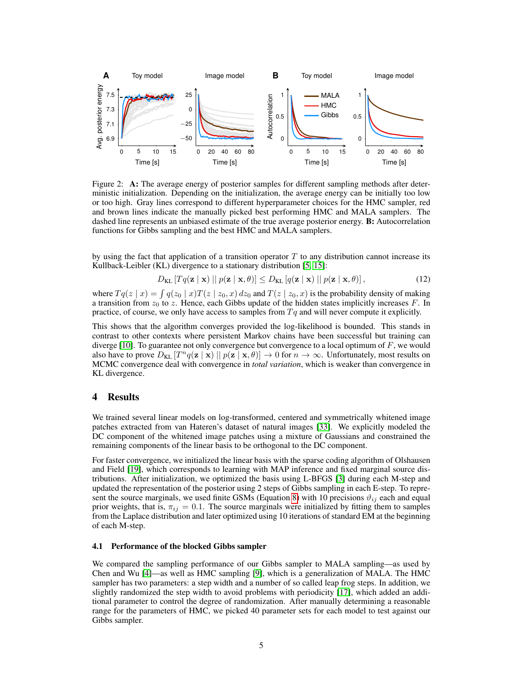

Figure 2: A: The average energy of posterior samples for different sampling methods after deterministic initialization. Depending on the initialization, the average energy can be initially too low or too high. Gray lines correspond to different hyperparameter choices for the HMC sampler, red and brown lines indicate the manually picked best performing HMC and MALA samplers. The dashed line represents an unbiased estimate of the true average posterior energy. **B:** Autocorrelation functions for Gibbs sampling and the best HMC and MALA samplers.

by using the fact that application of a transition operator  $T$  to any distribution cannot increase its Kullback-Leibler (KL) divergence to a stationary distribution [5, 15]:

$$
D_{\text{KL}}\left[Tq(\mathbf{z} \mid \mathbf{x}) \mid p(\mathbf{z} \mid \mathbf{x}, \theta)\right] \le D_{\text{KL}}\left[q(\mathbf{z} \mid \mathbf{x}) \mid p(\mathbf{z} \mid \mathbf{x}, \theta)\right],\tag{12}
$$

where  $Tq(z | x) = \int q(z_0 | x)T(z | z_0, x) dz_0$  and  $T(z | z_0, x)$  is the probability density of making a transition from  $z_0$  to z. Hence, each Gibbs update of the hidden states implicitly increases F. In practice, of course, we only have access to samples from  $Tq$  and will never compute it explicitly.

This shows that the algorithm converges provided the log-likelihood is bounded. This stands in contrast to other contexts where persistent Markov chains have been successful but training can diverge  $[10]$ . To guarantee not only convergence but convergence to a local optimum of  $F$ , we would also have to prove  $D_{KL}[T^n q(\mathbf{z} \mid \mathbf{x}) || p(\mathbf{z} \mid \mathbf{x}, \theta)] \to 0$  for  $n \to \infty$ . Unfortunately, most results on MCMC convergence deal with convergence in *total variation*, which is weaker than convergence in KL divergence.

# 4 Results

We trained several linear models on log-transformed, centered and symmetrically whitened image patches extracted from van Hateren's dataset of natural images [33]. We explicitly modeled the DC component of the whitened image patches using a mixture of Gaussians and constrained the remaining components of the linear basis to be orthogonal to the DC component.

For faster convergence, we initialized the linear basis with the sparse coding algorithm of Olshausen and Field [19], which corresponds to learning with MAP inference and fixed marginal source distributions. After initialization, we optimized the basis using L-BFGS [3] during each M-step and updated the representation of the posterior using 2 steps of Gibbs sampling in each E-step. To represent the source marginals, we used finite GSMs (Equation 8) with 10 precisions  $\vartheta_{ij}$  each and equal prior weights, that is,  $\pi_{ij} = 0.1$ . The source marginals were initialized by fitting them to samples from the Laplace distribution and later optimized using 10 iterations of standard EM at the beginning of each M-step.

### 4.1 Performance of the blocked Gibbs sampler

We compared the sampling performance of our Gibbs sampler to MALA sampling—as used by Chen and Wu [4]—as well as HMC sampling [9], which is a generalization of MALA. The HMC sampler has two parameters: a step width and a number of so called leap frog steps. In addition, we slightly randomized the step width to avoid problems with periodicity [17], which added an additional parameter to control the degree of randomization. After manually determining a reasonable range for the parameters of HMC, we picked 40 parameter sets for each model to test against our Gibbs sampler.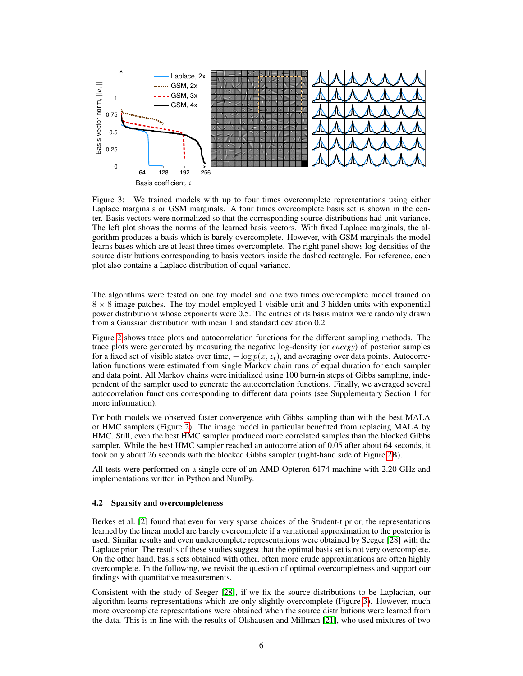

Figure 3: We trained models with up to four times overcomplete representations using either Laplace marginals or GSM marginals. A four times overcomplete basis set is shown in the center. Basis vectors were normalized so that the corresponding source distributions had unit variance. The left plot shows the norms of the learned basis vectors. With fixed Laplace marginals, the algorithm produces a basis which is barely overcomplete. However, with GSM marginals the model learns bases which are at least three times overcomplete. The right panel shows log-densities of the source distributions corresponding to basis vectors inside the dashed rectangle. For reference, each plot also contains a Laplace distribution of equal variance.

The algorithms were tested on one toy model and one two times overcomplete model trained on  $8 \times 8$  image patches. The toy model employed 1 visible unit and 3 hidden units with exponential power distributions whose exponents were 0.5. The entries of its basis matrix were randomly drawn from a Gaussian distribution with mean 1 and standard deviation 0.2.

Figure 2 shows trace plots and autocorrelation functions for the different sampling methods. The trace plots were generated by measuring the negative log-density (or *energy*) of posterior samples for a fixed set of visible states over time,  $-\log p(x, z_t)$ , and averaging over data points. Autocorrelation functions were estimated from single Markov chain runs of equal duration for each sampler and data point. All Markov chains were initialized using 100 burn-in steps of Gibbs sampling, independent of the sampler used to generate the autocorrelation functions. Finally, we averaged several autocorrelation functions corresponding to different data points (see Supplementary Section 1 for more information).

For both models we observed faster convergence with Gibbs sampling than with the best MALA or HMC samplers (Figure 2). The image model in particular benefited from replacing MALA by HMC. Still, even the best HMC sampler produced more correlated samples than the blocked Gibbs sampler. While the best HMC sampler reached an autocorrelation of 0.05 after about 64 seconds, it took only about 26 seconds with the blocked Gibbs sampler (right-hand side of Figure 2B).

All tests were performed on a single core of an AMD Opteron 6174 machine with 2.20 GHz and implementations written in Python and NumPy.

#### 4.2 Sparsity and overcompleteness

Berkes et al. [2] found that even for very sparse choices of the Student-t prior, the representations learned by the linear model are barely overcomplete if a variational approximation to the posterior is used. Similar results and even undercomplete representations were obtained by Seeger [28] with the Laplace prior. The results of these studies suggest that the optimal basis set is not very overcomplete. On the other hand, basis sets obtained with other, often more crude approximations are often highly overcomplete. In the following, we revisit the question of optimal overcompletness and support our findings with quantitative measurements.

Consistent with the study of Seeger [28], if we fix the source distributions to be Laplacian, our algorithm learns representations which are only slightly overcomplete (Figure 3). However, much more overcomplete representations were obtained when the source distributions were learned from the data. This is in line with the results of Olshausen and Millman [21], who used mixtures of two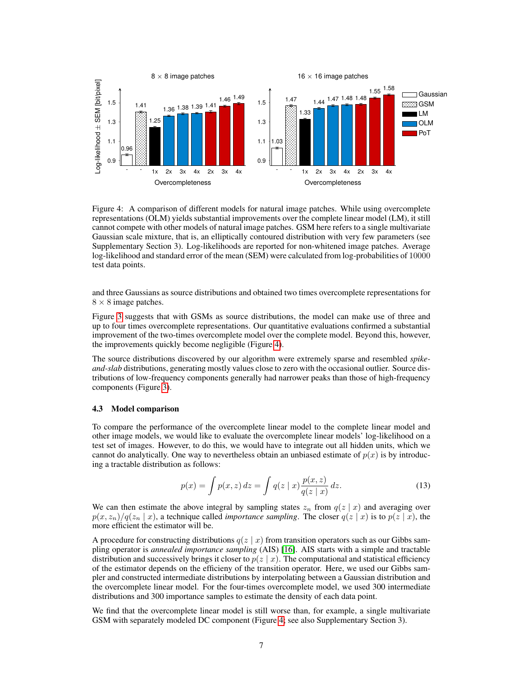

Figure 4: A comparison of different models for natural image patches. While using overcomplete representations (OLM) yields substantial improvements over the complete linear model (LM), it still cannot compete with other models of natural image patches. GSM here refers to a single multivariate Gaussian scale mixture, that is, an elliptically contoured distribution with very few parameters (see Supplementary Section 3). Log-likelihoods are reported for non-whitened image patches. Average log-likelihood and standard error of the mean (SEM) were calculated from log-probabilities of 10000 test data points.

and three Gaussians as source distributions and obtained two times overcomplete representations for  $8 \times 8$  image patches.

Figure 3 suggests that with GSMs as source distributions, the model can make use of three and up to four times overcomplete representations. Our quantitative evaluations confirmed a substantial improvement of the two-times overcomplete model over the complete model. Beyond this, however, the improvements quickly become negligible (Figure 4).

The source distributions discovered by our algorithm were extremely sparse and resembled *spikeand-slab* distributions, generating mostly values close to zero with the occasional outlier. Source distributions of low-frequency components generally had narrower peaks than those of high-frequency components (Figure 3).

#### 4.3 Model comparison

To compare the performance of the overcomplete linear model to the complete linear model and other image models, we would like to evaluate the overcomplete linear models' log-likelihood on a test set of images. However, to do this, we would have to integrate out all hidden units, which we cannot do analytically. One way to nevertheless obtain an unbiased estimate of  $p(x)$  is by introducing a tractable distribution as follows:

$$
p(x) = \int p(x, z) dz = \int q(z | x) \frac{p(x, z)}{q(z | x)} dz.
$$
 (13)

We can then estimate the above integral by sampling states  $z_n$  from  $q(z | x)$  and averaging over  $p(x, z_n)/q(z_n | x)$ , a technique called *importance sampling*. The closer  $q(z | x)$  is to  $p(z | x)$ , the more efficient the estimator will be.

A procedure for constructing distributions  $q(z | x)$  from transition operators such as our Gibbs sampling operator is *annealed importance sampling* (AIS) [16]. AIS starts with a simple and tractable distribution and successively brings it closer to  $p(z | x)$ . The computational and statistical efficiency of the estimator depends on the efficieny of the transition operator. Here, we used our Gibbs sampler and constructed intermediate distributions by interpolating between a Gaussian distribution and the overcomplete linear model. For the four-times overcomplete model, we used 300 intermediate distributions and 300 importance samples to estimate the density of each data point.

We find that the overcomplete linear model is still worse than, for example, a single multivariate GSM with separately modeled DC component (Figure 4; see also Supplementary Section 3).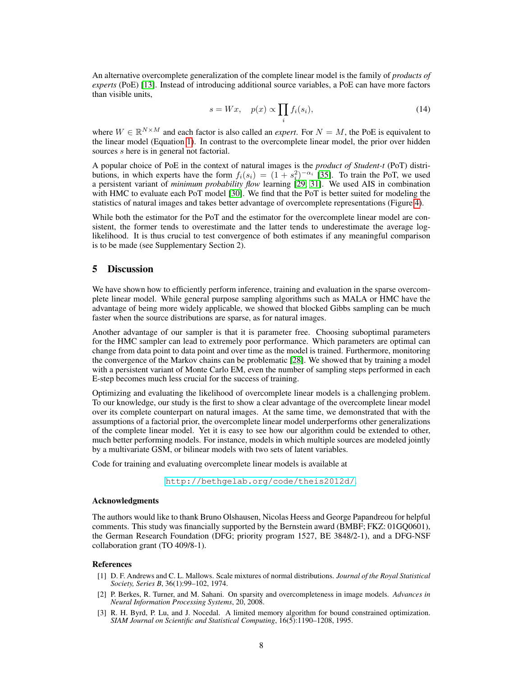An alternative overcomplete generalization of the complete linear model is the family of *products of experts* (PoE) [13]. Instead of introducing additional source variables, a PoE can have more factors than visible units,

$$
s = Wx, \quad p(x) \propto \prod_i f_i(s_i), \tag{14}
$$

where  $W \in \mathbb{R}^{N \times M}$  and each factor is also called an *expert*. For  $N = M$ , the PoE is equivalent to the linear model (Equation 1). In contrast to the overcomplete linear model, the prior over hidden sources s here is in general not factorial.

A popular choice of PoE in the context of natural images is the *product of Student-t* (PoT) distributions, in which experts have the form  $f_i(s_i) = (1 + s_i^2)^{-\alpha_i}$  [35]. To train the PoT, we used a persistent variant of *minimum probability flow* learning [29, 31]. We used AIS in combination with HMC to evaluate each PoT model [30]. We find that the PoT is better suited for modeling the statistics of natural images and takes better advantage of overcomplete representations (Figure 4).

While both the estimator for the PoT and the estimator for the overcomplete linear model are consistent, the former tends to overestimate and the latter tends to underestimate the average loglikelihood. It is thus crucial to test convergence of both estimates if any meaningful comparison is to be made (see Supplementary Section 2).

# 5 Discussion

We have shown how to efficiently perform inference, training and evaluation in the sparse overcomplete linear model. While general purpose sampling algorithms such as MALA or HMC have the advantage of being more widely applicable, we showed that blocked Gibbs sampling can be much faster when the source distributions are sparse, as for natural images.

Another advantage of our sampler is that it is parameter free. Choosing suboptimal parameters for the HMC sampler can lead to extremely poor performance. Which parameters are optimal can change from data point to data point and over time as the model is trained. Furthermore, monitoring the convergence of the Markov chains can be problematic [28]. We showed that by training a model with a persistent variant of Monte Carlo EM, even the number of sampling steps performed in each E-step becomes much less crucial for the success of training.

Optimizing and evaluating the likelihood of overcomplete linear models is a challenging problem. To our knowledge, our study is the first to show a clear advantage of the overcomplete linear model over its complete counterpart on natural images. At the same time, we demonstrated that with the assumptions of a factorial prior, the overcomplete linear model underperforms other generalizations of the complete linear model. Yet it is easy to see how our algorithm could be extended to other, much better performing models. For instance, models in which multiple sources are modeled jointly by a multivariate GSM, or bilinear models with two sets of latent variables.

Code for training and evaluating overcomplete linear models is available at

<http://bethgelab.org/code/theis2012d/>.

### Acknowledgments

The authors would like to thank Bruno Olshausen, Nicolas Heess and George Papandreou for helpful comments. This study was financially supported by the Bernstein award (BMBF; FKZ: 01GQ0601), the German Research Foundation (DFG; priority program 1527, BE 3848/2-1), and a DFG-NSF collaboration grant (TO 409/8-1).

## References

- [1] D. F. Andrews and C. L. Mallows. Scale mixtures of normal distributions. *Journal of the Royal Statistical Society, Series B*, 36(1):99–102, 1974.
- [2] P. Berkes, R. Turner, and M. Sahani. On sparsity and overcompleteness in image models. *Advances in Neural Information Processing Systems*, 20, 2008.
- [3] R. H. Byrd, P. Lu, and J. Nocedal. A limited memory algorithm for bound constrained optimization. *SIAM Journal on Scientific and Statistical Computing*, 16(5):1190–1208, 1995.